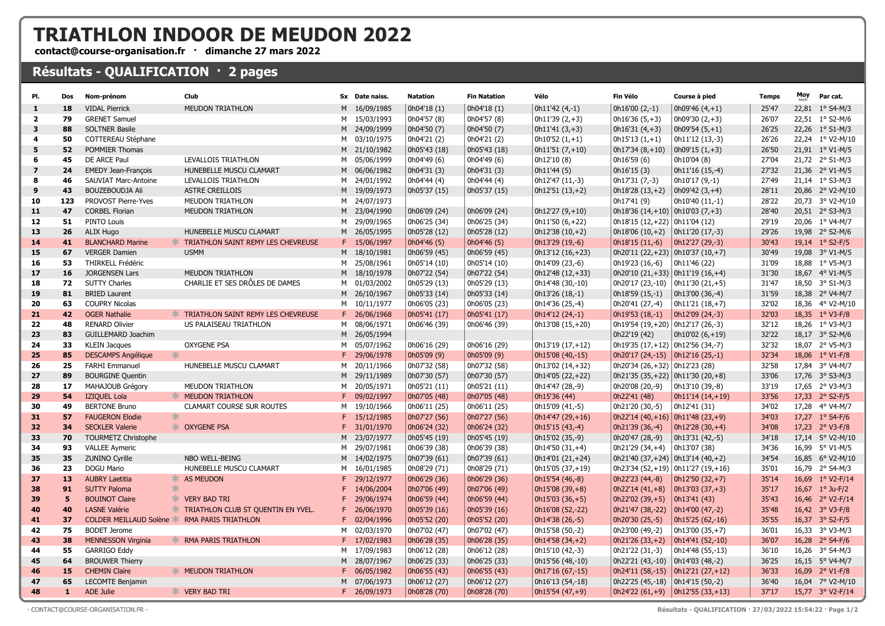## TRIATHLON INDOOR DE MEUDON 2022

contact@course-organisation.fr · dimanche 27 mars 2022

## Résultats - QUALIFICATION · 2 pages

| PI.                     | Dos          | Nom-prénom                                   | Club                                        |   | Sx Date naiss. | <b>Natation</b> | <b>Fin Natation</b> | Vélo                    | Fin Vélo                                        | Course à pied                       | <b>Temps</b> | Moy | Par cat.                 |
|-------------------------|--------------|----------------------------------------------|---------------------------------------------|---|----------------|-----------------|---------------------|-------------------------|-------------------------------------------------|-------------------------------------|--------------|-----|--------------------------|
| $\mathbf{1}$            | 18           | <b>VIDAL Pierrick</b>                        | <b>MEUDON TRIATHLON</b>                     |   | M 16/09/1985   | 0h04'18 (1)     | 0h04'18(1)          | $\vert$ 0h11'42 (4,-1)  | $  0h16'00 (2,-1)$                              | 0h09'46 $(4, +1)$                   | 25'47        |     | 22,81 1° S4-M/3          |
| $\overline{2}$          | 79           | <b>GRENET Samuel</b>                         |                                             |   | M 15/03/1993   | 0h04'57 (8)     | 0h04'57 (8)         | $0h11'39(2,+3)$         | $0h16'36(5,+3)$                                 | 0h09'30 $(2, +3)$                   | 26'07        |     | 22,51 1° S2-M/6          |
| 3                       | 88           | <b>SOLTNER Basile</b>                        |                                             |   | M 24/09/1999   | 0h04'50 (7)     | 0h04'50 (7)         | $\vert$ 0h11'41 (3,+3)  | $0h16'31(4,+3)$                                 | $\vert$ 0h09'54 (5,+1)              | 26'25        |     | 22,26 1° S1-M/3          |
| 4                       | 50           | COTTEREAU Stéphane                           |                                             |   | M 03/10/1975   | 0h04'21 (2)     | 0h04'21 (2)         | $0h10'52(1,+1)$         | $0h15'13(1,+1)$                                 | 0h11'12 (13,-3)                     | 26'26        |     | 22,24 1° V2-M/10         |
| 5                       | 52           | POMMIER Thomas                               |                                             |   | M 21/10/1982   | 0h05'43 (18)    | 0h05'43 (18)        | $\vert$ 0h11'51 (7,+10) | $0h17'34(8,+10)$                                | $\vert$ 0h09'15 (1,+3)              | 26'50        |     | 21,91 1° V1-M/5          |
| 6                       | 45           | DE ARCE Paul                                 | LEVALLOIS TRIATHLON                         |   | M 05/06/1999   | 0h04'49 (6)     | 0h04'49 (6)         | 0h12'10 (8)             | 0h16'59 (6)                                     | 0h10'04 (8)                         | 27'04        |     | 21,72 2° S1-M/3          |
| $\overline{\mathbf{z}}$ | 24           | <b>EMEDY Jean-François</b>                   | HUNEBELLE MUSCU CLAMART                     |   | M 06/06/1982   | 0h04'31 (3)     | 0h04'31 (3)         | 0h11'44 (5)             | 0h16'15 (3)                                     | 0h11'16 (15,-4)                     | 27'32        |     | 21,36 2° V1-M/5          |
| 8                       | 46           | SAUVIAT Marc-Antoine                         | LEVALLOIS TRIATHLON                         |   | M 24/01/1992   | 0h04'44 (4)     | 0h04'44 (4)         | 0h12'47 (11,-3)         | $0h17'31(7,-3)$                                 | 0h10'17 (9,-1)                      | 27'49        |     | 21,14 1° S3-M/3          |
| 9                       | 43           | BOUZEBOUDJA Ali                              | ASTRE CREILLOIS                             |   | M 19/09/1973   | 0h05'37 (15)    | 0h05'37 (15)        | $\vert$ 0h12'51 (13,+2) | $0h18'28(13,+2)$                                | $\vert$ 0h09'42 (3,+4)              | 28'11        |     | 20,86 2° V2-M/10         |
| 10                      | 123          | PROVOST Pierre-Yves                          | MEUDON TRIATHLON                            |   | M 24/07/1973   |                 |                     |                         | 0h17'41 (9)                                     | 0h10'40 (11,-1)                     | 28'22        |     | 20,73 3° V2-M/10         |
| 11                      | 47           | <b>CORBEL Florian</b>                        | <b>MEUDON TRIATHLON</b>                     |   | M 23/04/1990   | 0h06'09 (24)    | 0h06'09 (24)        | $0h12'27(9,+10)$        | $0h18'36(14,+10)$ 0h10'03 (7,+3)                |                                     | 28'40        |     | 20,51 2° S3-M/3          |
| 12                      | 51           | PINTO Louis                                  |                                             |   | M 29/09/1965   | 0h06'25 (34)    | 0h06'25 (34)        | 0h11'50 (6,+22)         | $0h18'15(12,+22)$ 0h11'04 (12)                  |                                     | 29'19        |     | 20,06 1° V4-M/7          |
| 13                      | 26           | ALIX Hugo                                    | HUNEBELLE MUSCU CLAMART                     |   | M 26/05/1995   | 0h05'28 (12)    | 0h05'28 (12)        | $\vert$ 0h12'38 (10,+2) | $0h18'06(10,+2)$ $0h11'20(17,-3)$               |                                     | 29'26        |     | 19,98 2° S2-M/6          |
| 14                      | 41           | <b>BLANCHARD Marine</b>                      | <b>* TRIATHLON SAINT REMY LES CHEVREUSE</b> |   | F 15/06/1997   | 0h04'46(5)      | 0h04'46(5)          | 0h13'29 (19,-6)         | 0h18'15 (11,-6)                                 | $ 0h12'27(29,-3) $                  | 30'43        |     | 19,14 1° S2-F/5          |
| 15                      | 67           | <b>VERGER Damien</b>                         | <b>USMM</b>                                 |   | M 18/10/1981   | 0h06'59 (45)    | 0h06'59 (45)        | $0h13'12(16,+23)$       |                                                 |                                     | 30'49        |     | 19,08 3° V1-M/5          |
| 16                      | 53           | THIRKELL Frédéric                            |                                             |   | M 25/08/1961   | 0h05'14 (10)    | 0h05'14 (10)        | 0h14'09 (23,-6)         | 0h19'23 (16,-6)                                 | 0h11'46(22)                         | 31'09        |     | 18,88 1° V5-M/3          |
| 17                      | 16           | <b>JORGENSEN Lars</b>                        | <b>MEUDON TRIATHLON</b>                     |   | M 18/10/1978   | 0h07'22 (54)    | 0h07'22 (54)        | $0h12'48(12,+33)$       | 0h20'10 $(21,+33)$ 0h11'19 $(16,+4)$            |                                     | 31'30        |     | 18,67 4° V1-M/5          |
| 18                      | 72           | <b>SUTTY Charles</b>                         | CHARLIE ET SES DRÔLES DE DAMES              |   | M 01/03/2002   | 0h05'29 (13)    | 0h05'29 (13)        | 0h14'48 (30,-10)        | 0h20'17 (23,-10) $  0h11'30 (21, +5)$           |                                     | 31'47        |     | 18,50 3° S1-M/3          |
| 19                      | 81           | <b>BRIED Laurent</b>                         |                                             |   | M 26/10/1967   | 0h05'33 (14)    | 0h05'33 (14)        | 0h13'26 (18,-1)         | 0h18'59 (15,-1)                                 | $  0h13'00 (36,-4)$                 | 31'59        |     | 18,38 2° V4-M/7          |
| 20                      | 63           | <b>COUPRY Nicolas</b>                        |                                             |   | M 10/11/1977   | 0h06'05 (23)    | 0h06'05 (23)        | 0h14'36 (25,-4)         | 0h20'41 (27,-4)                                 | $\vert$ 0h11'21 (18,+7)             | 32'02        |     | 18,36 4° V2-M/10         |
| 21                      | 42           | <b>OGER Nathalie</b>                         | <b>TRIATHLON SAINT REMY LES CHEVREUSE</b>   |   | F 26/06/1968   | 0h05'41 (17)    | 0h05'41 (17)        | $0h14'12(24,-1)$        | $0h19'53(18,-1)$                                | $ 0h12'09(24,-3) $                  | 32'03        |     | 18,35 1° V3-F/8          |
| 22                      | 48           | <b>RENARD Olivier</b>                        | US PALAISEAU TRIATHLON                      |   | M 08/06/1971   | 0h06'46 (39)    | 0h06'46 (39)        | 0h13'08 (15,+20)        | $0h19'54(19,+20)$ 0h12'17 (26,-3)               |                                     | 32'12        |     | 18,26 1° V3-M/3          |
| 23                      | 83           | GUILLEMARD Joachim                           |                                             |   | M 26/05/1994   |                 |                     |                         | 0h22'19 (42)                                    | $  0h10'02 (6,+19)$                 | 32'22        |     | 18,17 3° S2-M/6          |
| 24                      | 33           | <b>KLEIN Jacques</b>                         | <b>OXYGENE PSA</b>                          |   | M 05/07/1962   | 0h06'16 (29)    | 0h06'16 (29)        | $0h13'19(17,+12)$       | $0h19'35(17,+12)$ 0h12'56 (34,-7)               |                                     | 32'32        |     | 18,07 2° V5-M/3          |
| 25                      | 85           | $\ast$<br><b>DESCAMPS Angélique</b>          |                                             |   | F 29/06/1978   | 0h05'09 (9)     | 0h05'09(9)          | 0h15'08 (40,-15)        | 0h20'17 (24,-15) $ 0h12'16(25,-1) $             |                                     | 32'34        |     | 18,06 1° V1-F/8          |
| 26                      | 25           | <b>FARHI Emmanuel</b>                        | HUNEBELLE MUSCU CLAMART                     |   | M 20/11/1966   | 0h07'32 (58)    | 0h07'32 (58)        | 0h13'02 (14,+32)        | $0h20'34(26,+32) 0h12'23(28)$                   |                                     | 32'58        |     | 17,84 3° V4-M/7          |
| 27                      | 89           | <b>BOURGINE Quentin</b>                      |                                             |   | M 29/11/1989   | 0h07'30 (57)    | 0h07'30 (57)        | 0h14'05 (22,+22)        | $0h21'35(35,+22)$ 0h11'30 (20,+8)               |                                     | 33'06        |     | 17,76 3° S3-M/3          |
| 28                      | 17           | MAHAJOUB Grégory                             | MEUDON TRIATHLON                            |   | M 20/05/1971   | 0h05'21 (11)    | 0h05'21 (11)        | 0h14'47 (28,-9)         | 0h20'08 (20,-9)                                 | $  0h13'10 (39,-8)$                 | 33'19        |     | 17,65 2° V3-M/3          |
| 29                      | 54           | IZIQUEL Lola                                 | <b>* MEUDON TRIATHLON</b>                   |   | F 09/02/1997   | 0h07'05 (48)    | 0h07'05 (48)        | 0h15'36 (44)            | 0h22'41 (48)                                    | $0h11'14(14,+19)$                   | 33'56        |     | 17,33 2° S2-F/5          |
| 30                      | 49           | <b>BERTONE Bruno</b>                         | <b>CLAMART COURSE SUR ROUTES</b>            |   | M 19/10/1966   | 0h06'11 (25)    | 0h06'11 (25)        | 0h15'09 (41,-5)         | 0h21'20 (30,-5)                                 | 0h12'41(31)                         | 34'02        |     | 17,28 4° V4-M/7          |
| 31                      | 57           | *<br><b>FAUGERON Elodie</b>                  |                                             |   | F 15/12/1985   | 0h07'27 (56)    | 0h07'27 (56)        | $0h14'47(29,+16)$       | $ 0h22'14(40,+16) 0h11'48(23,+9) $              |                                     | 34'03        |     | 17,27 1° S4-F/6          |
| 32                      | 34           | <b>SECKLER Valerie</b>                       | <b>* OXYGENE PSA</b>                        |   | F 31/01/1970   | 0h06'24 (32)    | 0h06'24 (32)        | 0h15'15 (43,-4)         | 0h21'39 (36,-4)                                 | $ 0h12'28(30,+4) $                  | 34'08        |     | 17,23 2° V3-F/8          |
| 33                      | 70           | <b>TOURMETZ Christophe</b>                   |                                             |   | M 23/07/1977   | Oh05'45 (19)    | 0h05'45 (19)        | 0h15'02 (35,-9)         | 0h20'47 (28,-9)                                 | $  0h13'31 (42,-5)$                 | 34'18        |     | 17,14 5° V2-M/10         |
| 34                      | 93           | <b>VALLEE Aymeric</b>                        |                                             | M | 29/07/1981     | 0h06'39 (38)    | 0h06'39 (38)        | 0h14'50 (31,+4)         | 0h21'29 (34,+4)                                 | 0h13'07(38)                         | 34'36        |     | 16,99 5° V1-M/5          |
| 35                      | 35           | <b>ZUNINO Cyrille</b>                        | NBO WELL-BEING                              |   | M 14/02/1975   | 0h07'39 (61)    | 0h07'39 (61)        | 0h14'01 (21,+24)        | $0h21'40(37,+24)$ 0h13'14 (40,+2)               |                                     | 34'54        |     | 16,85 6° V2-M/10         |
| 36                      | 23           | DOGU Mario                                   | HUNEBELLE MUSCU CLAMART                     | м | 16/01/1985     | 0h08'29 (71)    | 0h08'29 (71)        | 0h15'05 (37,+19)        |                                                 | 0h23'34 (52, +19) 0h11'27 (19, +16) | 35'01        |     | 16,79 2° S4-M/3          |
| 37                      | 13           | <b>AUBRY Laetitia</b>                        | * AS MEUDON                                 |   | F 29/12/1977   | 0h06'29 (36)    | 0h06'29 (36)        | 0h15'54 (46,-8)         | 0h22'23 (44,-8)                                 | $ 0h12'50(32,+7) $                  | 35'14        |     | 16,69 1° V2-F/14         |
| 38                      | 91           | *<br><b>SUTTY Paloma</b>                     |                                             |   | F 14/06/2004   | 0h07'06 (49)    | 0h07'06 (49)        | $0h15'08(39,+8)$        | $\vert$ 0h22'14 (41,+8) $\vert$ 0h13'03 (37,+3) |                                     | 35'17        |     | 16,67 $1^{\circ}$ Ju-F/2 |
| 39                      | 5            | <b>BOUINOT Claire</b>                        | <b>WERY BAD TRI</b>                         |   | F 29/06/1974   | 0h06'59 (44)    | 0h06'59 (44)        | $0h15'03(36,+5)$        | $\vert$ 0h22'02 (39,+5) $\vert$ 0h13'41 (43)    |                                     | 35'43        |     | 16,46 2° V2-F/14         |
| 40                      | 40           | <b>LASNE Valérie</b>                         | <b>TRIATHLON CLUB ST QUENTIN EN YVEL.</b>   |   | F 26/06/1970   | 0h05'39 (16)    | 0h05'39 (16)        | Oh16'08 (52,-22)        | $0h21'47(38,-22)$ 0h14'00 (47,-2)               |                                     | 35'48        |     | 16,42 3° V3-F/8          |
| 41                      | 37           | COLDER MEILLAUD Solène & RMA PARIS TRIATHLON |                                             |   | F 02/04/1996   | 0h05'52 (20)    | 0h05'52 (20)        | 0h14'38 (26,-5)         | 0h20'30 (25,-5)                                 | $ 0h15'25(62,-16) $                 | 35'55        |     | 16,37 3° S2-F/5          |
| 42                      | 75           | <b>BODET Jerome</b>                          |                                             | M | 02/03/1970     | 0h07'02 (47)    | 0h07'02 (47)        | 0h15'58 (50,-2)         | 0h23'00 (49,-2)                                 | $  0h13'00 (35,+7)$                 | 36'01        |     | 16,33 3° V3-M/3          |
| 43                      | 38           | <b>MENNESSON Virginia</b>                    | <b>KING PARIS TRIATHLON</b>                 |   | F 17/02/1983   | 0h06'28 (35)    | 0h06'28 (35)        | $0h14'58(34,+2)$        | $0h21'26(33,+2)$ $0h14'41(52,-10)$              |                                     | 36'07        |     | 16,28 2° S4-F/6          |
| 44                      | 55           | <b>GARRIGO Eddy</b>                          |                                             |   | M 17/09/1983   | 0h06'12 (28)    | 0h06'12 (28)        | 0h15'10 (42,-3)         | 0h21'22 (31,-3)                                 | $  0h14'48 (55,-13)$                | 36'10        |     | 16,26 3° S4-M/3          |
| 45                      | 64           | <b>BROUWER Thierry</b>                       |                                             |   | M 28/07/1967   | 0h06'25 (33)    | 0h06'25 (33)        | 0h15'56 (48,-10)        | $0h22'21 (43,-10)$ $0h14'03 (48,-2)$            |                                     | 36'25        |     | 16,15 5° V4-M/7          |
| 46                      | 15           | <b>CHEMIN Claire</b>                         | <b>* MEUDON TRIATHLON</b>                   |   | F 06/05/1982   | 0h06'55 (43)    | 0h06'55 (43)        | 0h17'16 (67,-15)        |                                                 | $0h24'11(58,-15)$ $0h12'21(27,+12)$ | 36'33        |     | 16,09 2° V1-F/8          |
| 47                      | 65           | LECOMTE Benjamin                             |                                             |   | M 07/06/1973   | 0h06'12 (27)    | 0h06'12 (27)        | 0h16'13 (54,-18)        | $0h22'25 (45,-18)$ $0h14'15 (50,-2)$            |                                     | 36'40        |     | 16,04 7° V2-M/10         |
| 48                      | $\mathbf{1}$ | <b>ADE Julie</b>                             | <b>** VERY BAD TRI</b>                      |   | F 26/09/1973   | 0h08'28 (70)    | 0h08'28 (70)        | $0h15'54(47,+9)$        |                                                 | $0h24'22(61,+9)$ 0h12'55 (33,+13)   | 37'17        |     | 15,77 3° V2-F/14         |
|                         |              |                                              |                                             |   |                |                 |                     |                         |                                                 |                                     |              |     |                          |

- CONTACT@COURSE-ORGANISATION.FR - Résultats - QUALIFICATION · 27/03/2022 15:54:22 · Page 1/2